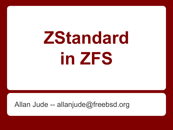# **ZStandard in ZFS**

#### Allan Jude -- allanjude@freebsd.org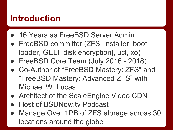#### **Introduction**

- 16 Years as FreeBSD Server Admin
- FreeBSD committer (ZFS, installer, boot loader, GELI [disk encryption], ucl, xo)
- FreeBSD Core Team (July 2016 2018)
- Co-Author of "FreeBSD Mastery: ZFS" and "FreeBSD Mastery: Advanced ZFS" with Michael W. Lucas
- Architect of the ScaleEngine Video CDN
- **Host of BSDNow.tv Podcast**
- Manage Over 1PB of ZFS storage across 30 locations around the globe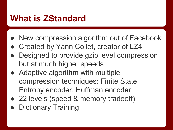## **What is ZStandard**

- New compression algorithm out of Facebook
- Created by Yann Collet, creator of LZ4
- Designed to provide gzip level compression but at much higher speeds
- Adaptive algorithm with multiple compression techniques: Finite State Entropy encoder, Huffman encoder
- 22 levels (speed & memory tradeoff)
- **Dictionary Training**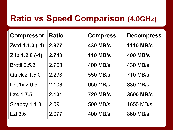## **Ratio vs Speed Comparison (4.0GHz)**

| <b>Compressor</b>   | <b>Ratio</b> | <b>Compress</b> | <b>Decompress</b> |
|---------------------|--------------|-----------------|-------------------|
| Zstd 1.1.3 (-1)     | 2.877        | <b>430 MB/s</b> | <b>1110 MB/s</b>  |
| Zlib 1.2.8 (-1)     | 2.743        | <b>110 MB/s</b> | <b>400 MB/s</b>   |
| <b>Brotli 0.5.2</b> | 2.708        | 400 MB/s        | 430 MB/s          |
| Quicklz 1.5.0       | 2.238        | 550 MB/s        | 710 MB/s          |
| Lzo1x2.0.9          | 2.108        | 650 MB/s        | 830 MB/s          |
| Lz4 1.7.5           | 2.101        | <b>720 MB/s</b> | 3600 MB/s         |
| Snappy 1.1.3        | 2.091        | 500 MB/s        | 1650 MB/s         |
| Lzf 3.6             | 2.077        | 400 MB/s        | 860 MB/s          |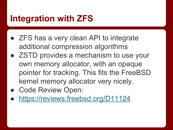## **Integration with ZFS**

- ZFS has a very clean API to integrate additional compression algorithms
- ZSTD provides a mechanism to use your own memory allocator, with an opaque pointer for tracking. This fits the FreeBSD kernel memory allocator very nicely.
- Code Review Open:
- <https://reviews.freebsd.org/D11124>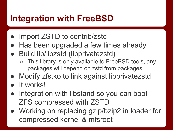## **Integration with FreeBSD**

- Import ZSTD to contrib/zstd
- Has been upgraded a few times already
- **Build lib/libzstd (libprivatezstd)** 
	- This library is only available to FreeBSD tools, any packages will depend on zstd from packages
- Modify zfs.ko to link against libprivatezstd
- It works!
- Integration with libstand so you can boot ZFS compressed with ZSTD
- Working on replacing gzip/bzip2 in loader for compressed kernel & mfsroot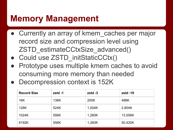## **Memory Management**

- Currently an array of kmem caches per major record size and compression level using ZSTD\_estimateCCtxSize\_advanced()
- Could use ZSTD\_initStaticCCtx()
- Prototype uses multiple kmem caches to avoid consuming more memory than needed
- Decompression context is 152K

| <b>Record Size</b> | $zstd -1$ | $zstd -3$ | $zstd - 19$ |
|--------------------|-----------|-----------|-------------|
| 16K                | 136K      | 200K      | 488K        |
| 128K               | 524K      | 1,004K    | 2,804K      |
| 1024K              | 556K      | 1,260K    | 13,556K     |
| 8192K              | 556K      | 1,260K    | 50,420K     |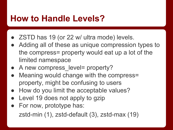## **How to Handle Levels?**

- ZSTD has 19 (or 22 w/ ultra mode) levels.
- Adding all of these as unique compression types to the compress= property would eat up a lot of the limited namespace
- A new compress level= property?
- Meaning would change with the compress= property, might be confusing to users
- How do you limit the acceptable values?
- Level 19 does not apply to gzip
- For now, prototype has: zstd-min (1), zstd-default (3), zstd-max (19)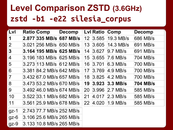## **Level Comparison ZSTD (3.6GHz) zstd -b1 -e22 silesia\_corpus**

| <b>LvI</b>         | <b>Ratio Comp</b>          | <b>Decomp</b> |                 |       | Lvl Ratio Comp        | <b>Decomp</b> |
|--------------------|----------------------------|---------------|-----------------|-------|-----------------------|---------------|
| $\vert$ 1          | 2.877 335 MB/s 687 MB/s    |               | 12 <sup>1</sup> | 3.585 | $19.3$ MB/s           | 686 MB/s      |
| $\overline{2}$     | 3.021 256 MB/s 650 MB/s    |               | 13              | 3.605 | $ 14.3 \text{ MB/s} $ | 691 MB/s      |
| 3                  | 3.164 195 MB/s 625 MB/s    |               | 14              | 3.627 | $9.7$ MB/s            | 691 MB/s      |
| $\vert 4 \vert$    | 3.196 183 MB/s 625 MB/s    |               | 15              | 3.655 | $7.6$ MB/s            | 704 MB/s      |
| 5                  | 3.273 113 MB/s 612 MB/s    |               | 16              | 3.701 | 6.3 MB/s              | 700 MB/s      |
| $6\overline{6}$    | 3.381 84.2 MB/s 642 MB/s   |               | 17              | 3.769 | $4.9$ MB/s            | 700 MB/s      |
| 7                  | 3.432 67.0 MB/s 657 MB/s   |               | 18              |       | $ 3.825 $ 4.2 MB/s    | 700 MB/s      |
| 8                  | 3.473 53.2 MB/s 670 MB/s   |               | 19              | 3.923 | $3.3$ MB/s            | 704 MB/s      |
| 9                  | 3.492 46.0 MB/s 674 MB/s   |               | <b>20</b>       | 3.996 | $2.7$ MB/s            | 585 MB/s      |
| 10                 | 3.522 33.1 MB/s 682 MB/s   |               | 21              | 4.017 | $2.3$ MB/s            | 585 MB/s      |
| 11                 | 3.561 25.9 MB/s 678 MB/s   |               |                 |       | 22 4.020 1.9 MB/s     | 585 MB/s      |
| $gz-1$             | 2.743 77.7 MB/s 252 MB/s   |               |                 |       |                       |               |
| $\overline{gz}$ -6 | $3.106$ 25.6 MB/s 265 MB/s |               |                 |       |                       |               |
| $\overline{gz}$ -9 | 3.133 10.8 MB/s 265 MB/s   |               |                 |       |                       |               |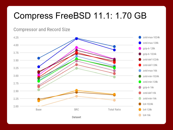## Compress FreeBSD 11.1: 1.70 GB

**Compressor and Record Size** 

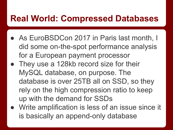## **Real World: Compressed Databases**

- As EuroBSDCon 2017 in Paris last month, I did some on-the-spot performance analysis for a European payment processor
- They use a 128kb record size for their MySQL database, on purpose. The database is over 25TB all on SSD, so they rely on the high compression ratio to keep up with the demand for SSDs
- Write amplification is less of an issue since it is basically an append-only database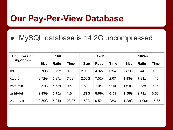#### **Our Pay-Per-View Database**

#### MySQL database is 14.2G uncompressed

| <b>Compression</b><br><b>Algorithm</b> | <b>16K</b>  |              |             | <b>128K</b> |              |             | 1024K       |              |             |
|----------------------------------------|-------------|--------------|-------------|-------------|--------------|-------------|-------------|--------------|-------------|
|                                        | <b>Size</b> | <b>Ratio</b> | <b>Time</b> | <b>Size</b> | <b>Ratio</b> | <b>Time</b> | <b>Size</b> | <b>Ratio</b> | <b>Time</b> |
| z4                                     | 3.76G       | 3.79x        | 0:55        | 2.90G       | 4.92x        | 0:54        | 2.81G       | 5.44         | 0:50        |
| gzip-6                                 | 2.72G       | 5.27x        | 7:09        | 2.03G       | 7.02x        | 2:07        | 1.93G       | 7.91x        | 1:43        |
| zstd-min                               | 2.52G       | 5.68x        | 0:59        | 1.80G       | 7.94x        | 0:49        | 1.64G       | 9.33x        | 0:46        |
| zstd-def                               | 2.49G       | 5.75x        | 1:04        | 1.77G       | 8.06x        | 0:51        | 1.58G       | 9.71x        | 0:50        |
| zstd-max                               | 2.30G       | 6.24x        | 23:27       | 1.50G       | 9.52x        | 28:31       | 1.28G       | 11.99x       | 15:35       |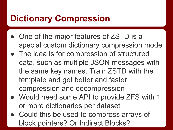## **Dictionary Compression**

- One of the major features of ZSTD is a special custom dictionary compression mode
- The idea is for compression of structured data, such as multiple JSON messages with the same key names. Train ZSTD with the template and get better and faster compression and decompression
- Would need some API to provide ZFS with 1 or more dictionaries per dataset
- Could this be used to compress arrays of block pointers? Or Indirect Blocks?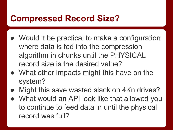## **Compressed Record Size?**

- Would it be practical to make a configuration where data is fed into the compression algorithm in chunks until the PHYSICAL record size is the desired value?
- What other impacts might this have on the system?
- Might this save wasted slack on 4Kn drives?
- What would an API look like that allowed you to continue to feed data in until the physical record was full?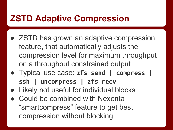## **ZSTD Adaptive Compression**

- ZSTD has grown an adaptive compression feature, that automatically adjusts the compression level for maximum throughput on a throughput constrained output
- Typical use case: **zfs send | compress | ssh | uncompress | zfs recv**
- Likely not useful for individual blocks
- Could be combined with Nexenta "smartcompress" feature to get best compression without blocking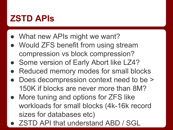## **ZSTD APIs**

- What new APIs might we want?
- Would ZFS benefit from using stream compression vs block compression?
- Some version of Early Abort like LZ4?
- Reduced memory modes for small blocks
- Does decompression context need to be > 150K if blocks are never more than 8M?
- More tuning and options for ZFS like workloads for small blocks (4k-16k record sizes for databases etc)
- ZSTD API that understand ABD / SGL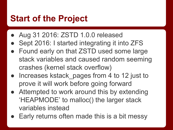## **Start of the Project**

- Aug 31 2016: ZSTD 1.0.0 released
- Sept 2016: I started integrating it into ZFS
- Found early on that ZSTD used some large stack variables and caused random seeming crashes (kernel stack overflow)
- Increases kstack pages from 4 to 12 just to prove it will work before going forward
- Attempted to work around this by extending 'HEAPMODE' to malloc() the larger stack variables instead
- Early returns often made this is a bit messy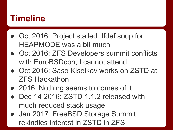## **Timeline**

- Oct 2016: Project stalled. Ifdef soup for HEAPMODE was a bit much
- Oct 2016: ZFS Developers summit conflicts with EuroBSDcon, I cannot attend
- Oct 2016: Saso Kiselkov works on ZSTD at ZFS Hackathon
- 2016: Nothing seems to comes of it
- Dec 14 2016: ZSTD 1.1.2 released with much reduced stack usage
- Jan 2017: FreeBSD Storage Summit rekindles interest in ZSTD in ZFS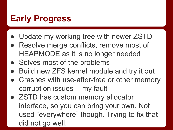# **Early Progress**

- Update my working tree with newer ZSTD
- Resolve merge conflicts, remove most of HEAPMODE as it is no longer needed
- Solves most of the problems
- Build new ZFS kernel module and try it out
- Crashes with use-after-free or other memory corruption issues -- my fault
- ZSTD has custom memory allocator interface, so you can bring your own. Not used "everywhere" though. Trying to fix that did not go well.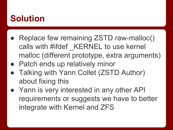## **Solution**

- Replace few remaining ZSTD raw-malloc() calls with #ifdef KERNEL to use kernel malloc (different prototype, extra arguments)
- Patch ends up relatively minor
- **Talking with Yann Collet (ZSTD Author)** about fixing this
- Yann is very interested in any other API requirements or suggests we have to better integrate with Kernel and ZFS